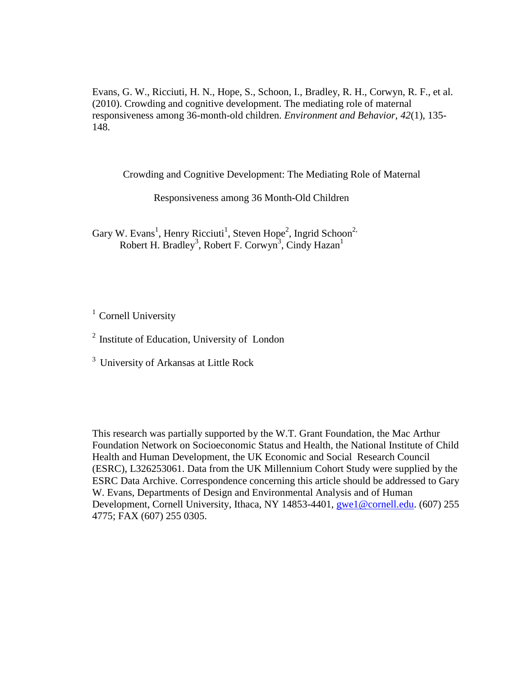Evans, G. W., Ricciuti, H. N., Hope, S., Schoon, I., Bradley, R. H., Corwyn, R. F., et al. (2010). Crowding and cognitive development. The mediating role of maternal responsiveness among 36-month-old children. *Environment and Behavior, 42*(1), 135- 148.

Crowding and Cognitive Development: The Mediating Role of Maternal

Responsiveness among 36 Month-Old Children

Gary W. Evans<sup>1</sup>, Henry Ricciuti<sup>1</sup>, Steven Hope<sup>2</sup>, Ingrid Schoon<sup>2,</sup> Robert H. Bradley<sup>3</sup>, Robert F. Corwyn<sup>3</sup>, Cindy Hazan<sup>1</sup>

 $1$  Cornell University

 $2$  Institute of Education, University of London

 $3$  University of Arkansas at Little Rock

This research was partially supported by the W.T. Grant Foundation, the Mac Arthur Foundation Network on Socioeconomic Status and Health, the National Institute of Child Health and Human Development, the UK Economic and Social Research Council (ESRC), L326253061. Data from the UK Millennium Cohort Study were supplied by the ESRC Data Archive. Correspondence concerning this article should be addressed to Gary W. Evans, Departments of Design and Environmental Analysis and of Human Development, Cornell University, Ithaca, NY 14853-4401, [gwe1@cornell.edu.](mailto:gwe1@cornell.edu) (607) 255 4775; FAX (607) 255 0305.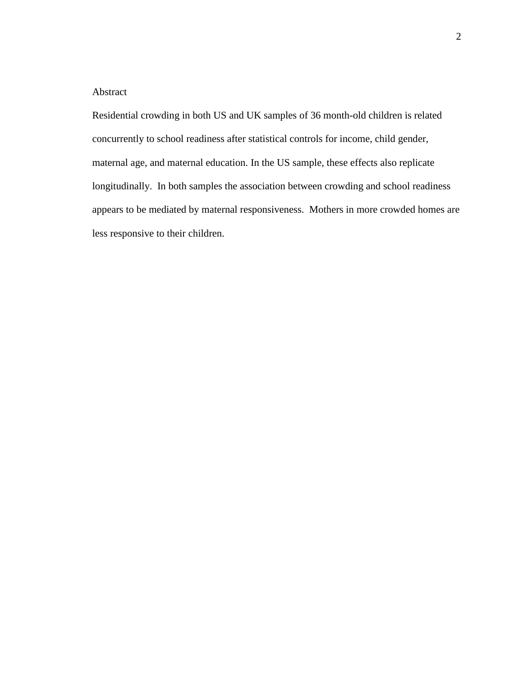## Abstract

Residential crowding in both US and UK samples of 36 month-old children is related concurrently to school readiness after statistical controls for income, child gender, maternal age, and maternal education. In the US sample, these effects also replicate longitudinally. In both samples the association between crowding and school readiness appears to be mediated by maternal responsiveness. Mothers in more crowded homes are less responsive to their children.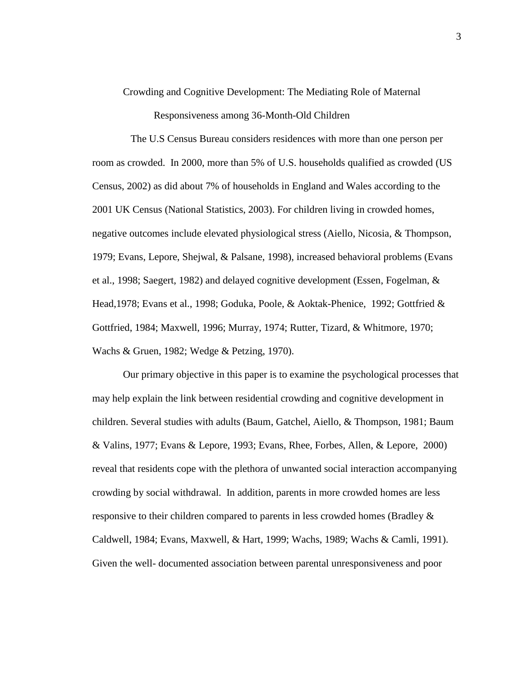Crowding and Cognitive Development: The Mediating Role of Maternal

Responsiveness among 36-Month-Old Children

 The U.S Census Bureau considers residences with more than one person per room as crowded. In 2000, more than 5% of U.S. households qualified as crowded (US Census, 2002) as did about 7% of households in England and Wales according to the 2001 UK Census (National Statistics, 2003). For children living in crowded homes, negative outcomes include elevated physiological stress (Aiello, Nicosia, & Thompson, 1979; Evans, Lepore, Shejwal, & Palsane, 1998), increased behavioral problems (Evans et al., 1998; Saegert, 1982) and delayed cognitive development (Essen, Fogelman, & Head,1978; Evans et al., 1998; Goduka, Poole, & Aoktak-Phenice, 1992; Gottfried & Gottfried, 1984; Maxwell, 1996; Murray, 1974; Rutter, Tizard, & Whitmore, 1970; Wachs & Gruen, 1982; Wedge & Petzing, 1970).

Our primary objective in this paper is to examine the psychological processes that may help explain the link between residential crowding and cognitive development in children. Several studies with adults (Baum, Gatchel, Aiello, & Thompson, 1981; Baum & Valins, 1977; Evans & Lepore, 1993; Evans, Rhee, Forbes, Allen, & Lepore, 2000) reveal that residents cope with the plethora of unwanted social interaction accompanying crowding by social withdrawal. In addition, parents in more crowded homes are less responsive to their children compared to parents in less crowded homes (Bradley & Caldwell, 1984; Evans, Maxwell, & Hart, 1999; Wachs, 1989; Wachs & Camli, 1991). Given the well- documented association between parental unresponsiveness and poor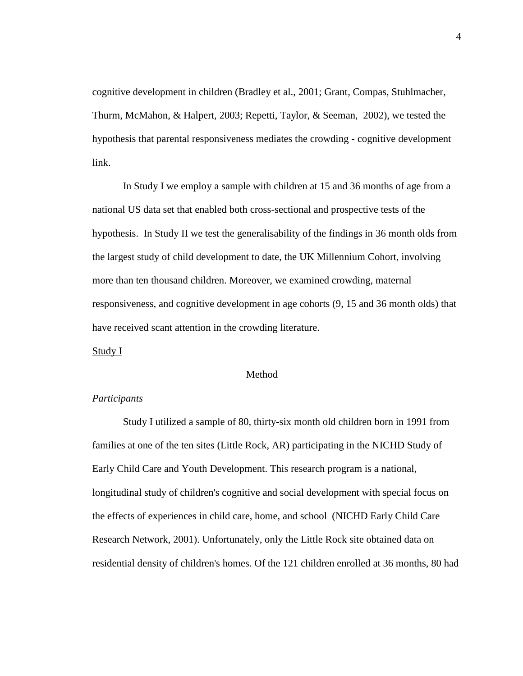cognitive development in children (Bradley et al., 2001; Grant, Compas, Stuhlmacher, Thurm, McMahon, & Halpert, 2003; Repetti, Taylor, & Seeman, 2002), we tested the hypothesis that parental responsiveness mediates the crowding - cognitive development link.

In Study I we employ a sample with children at 15 and 36 months of age from a national US data set that enabled both cross-sectional and prospective tests of the hypothesis. In Study II we test the generalisability of the findings in 36 month olds from the largest study of child development to date, the UK Millennium Cohort, involving more than ten thousand children. Moreover, we examined crowding, maternal responsiveness, and cognitive development in age cohorts (9, 15 and 36 month olds) that have received scant attention in the crowding literature.

Study I

#### Method

#### *Participants*

Study I utilized a sample of 80, thirty-six month old children born in 1991 from families at one of the ten sites (Little Rock, AR) participating in the NICHD Study of Early Child Care and Youth Development. This research program is a national, longitudinal study of children's cognitive and social development with special focus on the effects of experiences in child care, home, and school (NICHD Early Child Care Research Network, 2001). Unfortunately, only the Little Rock site obtained data on residential density of children's homes. Of the 121 children enrolled at 36 months, 80 had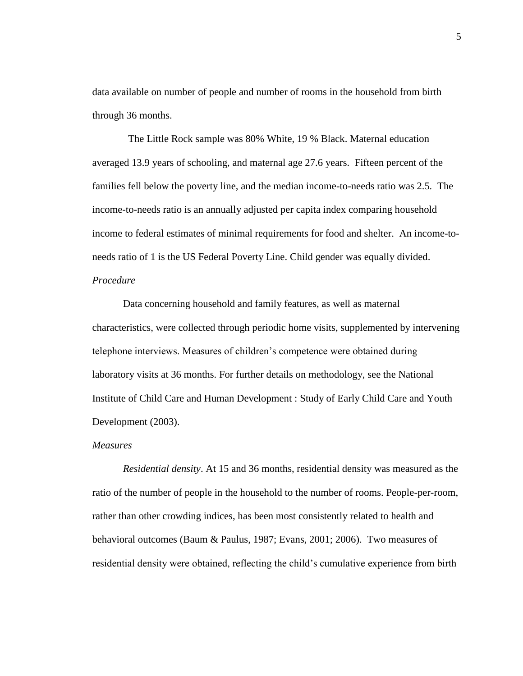data available on number of people and number of rooms in the household from birth through 36 months.

 The Little Rock sample was 80% White, 19 % Black. Maternal education averaged 13.9 years of schooling, and maternal age 27.6 years. Fifteen percent of the families fell below the poverty line, and the median income-to-needs ratio was 2.5*.* The income-to-needs ratio is an annually adjusted per capita index comparing household income to federal estimates of minimal requirements for food and shelter. An income-toneeds ratio of 1 is the US Federal Poverty Line. Child gender was equally divided. *Procedure*

Data concerning household and family features, as well as maternal characteristics, were collected through periodic home visits, supplemented by intervening telephone interviews. Measures of children's competence were obtained during laboratory visits at 36 months. For further details on methodology, see the National Institute of Child Care and Human Development : Study of Early Child Care and Youth Development (2003).

### *Measures*

*Residential density*. At 15 and 36 months, residential density was measured as the ratio of the number of people in the household to the number of rooms. People-per-room, rather than other crowding indices, has been most consistently related to health and behavioral outcomes (Baum & Paulus, 1987; Evans, 2001; 2006). Two measures of residential density were obtained, reflecting the child's cumulative experience from birth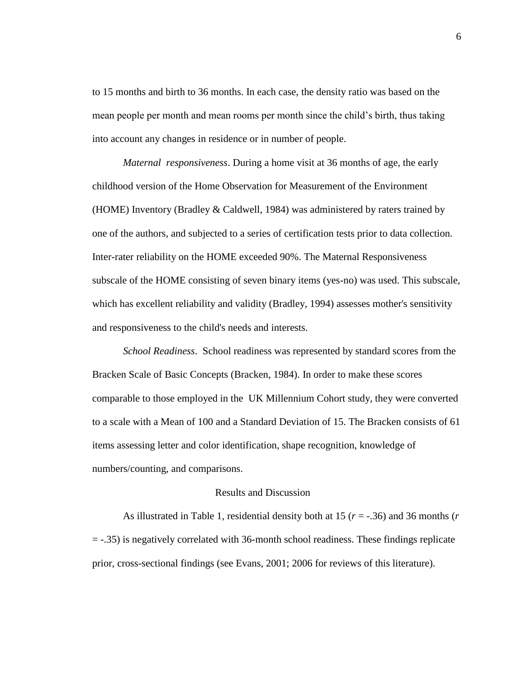to 15 months and birth to 36 months. In each case, the density ratio was based on the mean people per month and mean rooms per month since the child's birth, thus taking into account any changes in residence or in number of people.

*Maternal responsiveness*. During a home visit at 36 months of age, the early childhood version of the Home Observation for Measurement of the Environment (HOME) Inventory (Bradley & Caldwell, 1984) was administered by raters trained by one of the authors, and subjected to a series of certification tests prior to data collection. Inter-rater reliability on the HOME exceeded 90%. The Maternal Responsiveness subscale of the HOME consisting of seven binary items (yes-no) was used. This subscale, which has excellent reliability and validity (Bradley, 1994) assesses mother's sensitivity and responsiveness to the child's needs and interests.

*School Readiness*. School readiness was represented by standard scores from the Bracken Scale of Basic Concepts (Bracken, 1984). In order to make these scores comparable to those employed in the UK Millennium Cohort study, they were converted to a scale with a Mean of 100 and a Standard Deviation of 15. The Bracken consists of 61 items assessing letter and color identification, shape recognition, knowledge of numbers/counting, and comparisons.

### Results and Discussion

As illustrated in Table 1, residential density both at 15 (*r* = -.36) and 36 months (*r*  = -.35) is negatively correlated with 36-month school readiness. These findings replicate prior, cross-sectional findings (see Evans, 2001; 2006 for reviews of this literature).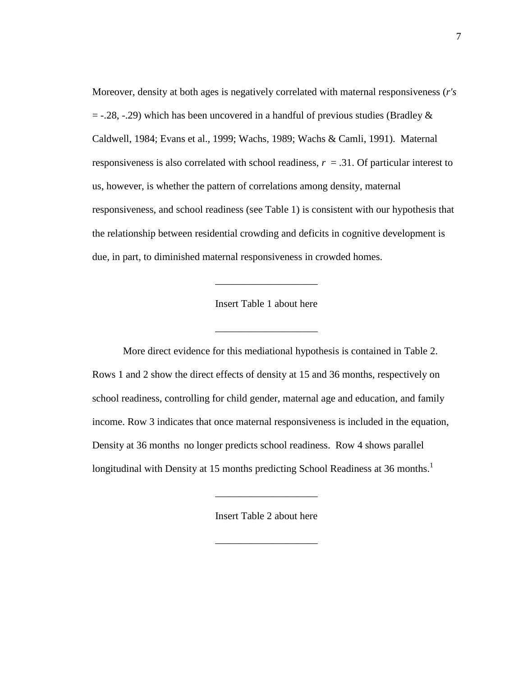Moreover, density at both ages is negatively correlated with maternal responsiveness (*r's*   $=$  -.28, -.29) which has been uncovered in a handful of previous studies (Bradley  $\&$ Caldwell, 1984; Evans et al., 1999; Wachs, 1989; Wachs & Camli, 1991). Maternal responsiveness is also correlated with school readiness,  $r = .31$ . Of particular interest to us, however, is whether the pattern of correlations among density, maternal responsiveness, and school readiness (see Table 1) is consistent with our hypothesis that the relationship between residential crowding and deficits in cognitive development is due, in part, to diminished maternal responsiveness in crowded homes.

Insert Table 1 about here

 $\mathcal{L}_\text{max}$  and  $\mathcal{L}_\text{max}$  and  $\mathcal{L}_\text{max}$  and  $\mathcal{L}_\text{max}$ 

\_\_\_\_\_\_\_\_\_\_\_\_\_\_\_\_\_\_\_\_

More direct evidence for this mediational hypothesis is contained in Table 2. Rows 1 and 2 show the direct effects of density at 15 and 36 months, respectively on school readiness, controlling for child gender, maternal age and education, and family income. Row 3 indicates that once maternal responsiveness is included in the equation, Density at 36 months no longer predicts school readiness. Row 4 shows parallel longitudinal with Density at 15 months predicting School Readiness at 36 months.<sup>1</sup>

Insert Table 2 about here

\_\_\_\_\_\_\_\_\_\_\_\_\_\_\_\_\_\_\_\_

 $\overline{\phantom{a}}$  , which is a set of the set of the set of the set of the set of the set of the set of the set of the set of the set of the set of the set of the set of the set of the set of the set of the set of the set of th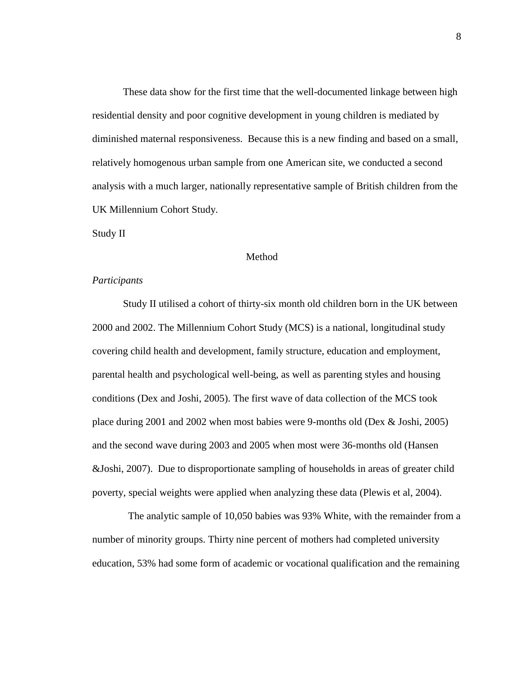These data show for the first time that the well-documented linkage between high residential density and poor cognitive development in young children is mediated by diminished maternal responsiveness. Because this is a new finding and based on a small, relatively homogenous urban sample from one American site, we conducted a second analysis with a much larger, nationally representative sample of British children from the UK Millennium Cohort Study.

Study II

#### Method

#### *Participants*

Study II utilised a cohort of thirty-six month old children born in the UK between 2000 and 2002. The Millennium Cohort Study (MCS) is a national, longitudinal study covering child health and development, family structure, education and employment, parental health and psychological well-being, as well as parenting styles and housing conditions (Dex and Joshi, 2005). The first wave of data collection of the MCS took place during 2001 and 2002 when most babies were 9-months old (Dex & Joshi, 2005) and the second wave during 2003 and 2005 when most were 36-months old (Hansen &Joshi, 2007). Due to disproportionate sampling of households in areas of greater child poverty, special weights were applied when analyzing these data (Plewis et al, 2004).

 The analytic sample of 10,050 babies was 93% White, with the remainder from a number of minority groups. Thirty nine percent of mothers had completed university education, 53% had some form of academic or vocational qualification and the remaining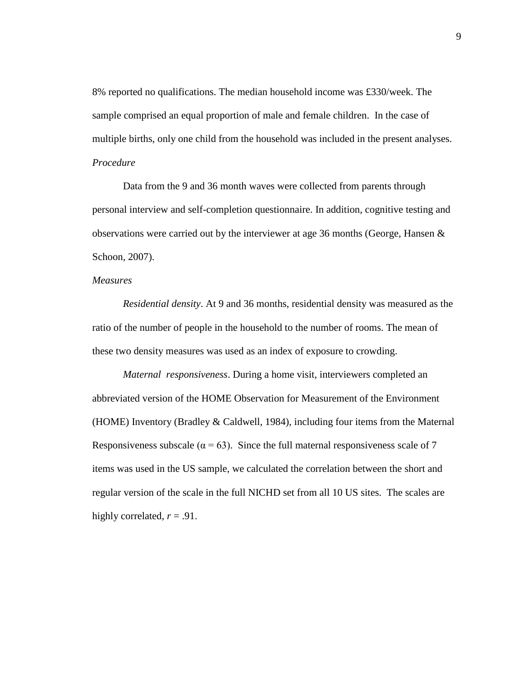8% reported no qualifications. The median household income was £330/week. The sample comprised an equal proportion of male and female children. In the case of multiple births, only one child from the household was included in the present analyses. *Procedure*

Data from the 9 and 36 month waves were collected from parents through personal interview and self-completion questionnaire. In addition, cognitive testing and observations were carried out by the interviewer at age 36 months (George, Hansen & Schoon, 2007).

### *Measures*

*Residential density*. At 9 and 36 months, residential density was measured as the ratio of the number of people in the household to the number of rooms. The mean of these two density measures was used as an index of exposure to crowding.

*Maternal responsiveness*. During a home visit, interviewers completed an abbreviated version of the HOME Observation for Measurement of the Environment (HOME) Inventory (Bradley & Caldwell, 1984), including four items from the Maternal Responsiveness subscale ( $\alpha = 63$ ). Since the full maternal responsiveness scale of 7 items was used in the US sample, we calculated the correlation between the short and regular version of the scale in the full NICHD set from all 10 US sites. The scales are highly correlated,  $r = .91$ .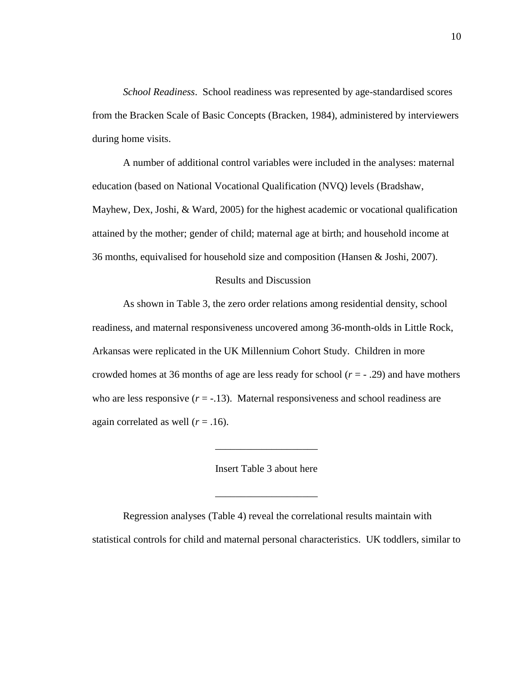*School Readiness*. School readiness was represented by age-standardised scores from the Bracken Scale of Basic Concepts (Bracken, 1984), administered by interviewers during home visits.

A number of additional control variables were included in the analyses: maternal education (based on National Vocational Qualification (NVQ) levels (Bradshaw, Mayhew, Dex, Joshi, & Ward, 2005) for the highest academic or vocational qualification attained by the mother; gender of child; maternal age at birth; and household income at 36 months, equivalised for household size and composition (Hansen & Joshi, 2007).

#### Results and Discussion

As shown in Table 3, the zero order relations among residential density, school readiness, and maternal responsiveness uncovered among 36-month-olds in Little Rock, Arkansas were replicated in the UK Millennium Cohort Study. Children in more crowded homes at 36 months of age are less ready for school (*r* = - .29) and have mothers who are less responsive  $(r = -13)$ . Maternal responsiveness and school readiness are again correlated as well  $(r = .16)$ .

Insert Table 3 about here

\_\_\_\_\_\_\_\_\_\_\_\_\_\_\_\_\_\_\_\_

 $\mathcal{L}_\text{max}$  , which is a set of the set of the set of the set of the set of the set of the set of the set of the set of the set of the set of the set of the set of the set of the set of the set of the set of the set of

Regression analyses (Table 4) reveal the correlational results maintain with statistical controls for child and maternal personal characteristics. UK toddlers, similar to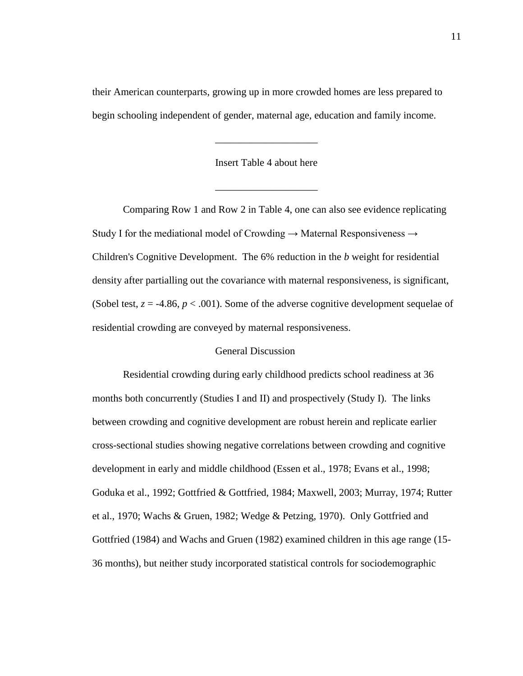their American counterparts, growing up in more crowded homes are less prepared to begin schooling independent of gender, maternal age, education and family income.

Insert Table 4 about here

\_\_\_\_\_\_\_\_\_\_\_\_\_\_\_\_\_\_\_\_

\_\_\_\_\_\_\_\_\_\_\_\_\_\_\_\_\_\_\_\_

Comparing Row 1 and Row 2 in Table 4, one can also see evidence replicating Study I for the mediational model of Crowding  $\rightarrow$  Maternal Responsiveness  $\rightarrow$ Children's Cognitive Development. The 6% reduction in the *b* weight for residential density after partialling out the covariance with maternal responsiveness, is significant, (Sobel test,  $z = -4.86$ ,  $p < .001$ ). Some of the adverse cognitive development sequelae of residential crowding are conveyed by maternal responsiveness.

#### General Discussion

Residential crowding during early childhood predicts school readiness at 36 months both concurrently (Studies I and II) and prospectively (Study I). The links between crowding and cognitive development are robust herein and replicate earlier cross-sectional studies showing negative correlations between crowding and cognitive development in early and middle childhood (Essen et al., 1978; Evans et al., 1998; Goduka et al., 1992; Gottfried & Gottfried, 1984; Maxwell, 2003; Murray, 1974; Rutter et al., 1970; Wachs & Gruen, 1982; Wedge & Petzing, 1970). Only Gottfried and Gottfried (1984) and Wachs and Gruen (1982) examined children in this age range (15- 36 months), but neither study incorporated statistical controls for sociodemographic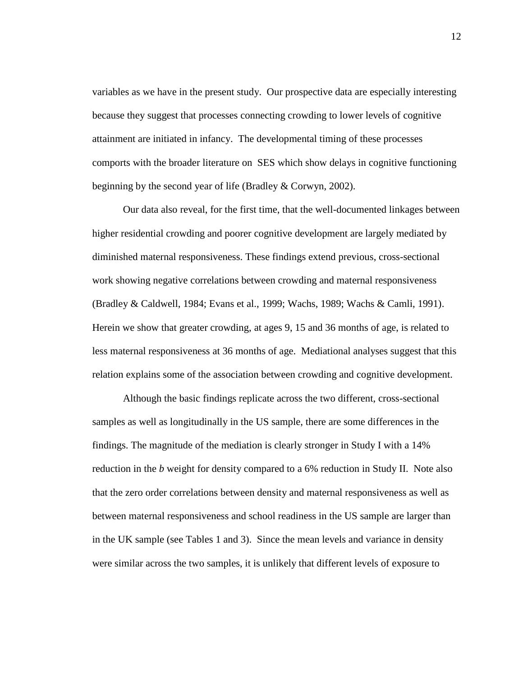variables as we have in the present study. Our prospective data are especially interesting because they suggest that processes connecting crowding to lower levels of cognitive attainment are initiated in infancy. The developmental timing of these processes comports with the broader literature on SES which show delays in cognitive functioning beginning by the second year of life (Bradley & Corwyn, 2002).

Our data also reveal, for the first time, that the well-documented linkages between higher residential crowding and poorer cognitive development are largely mediated by diminished maternal responsiveness. These findings extend previous, cross-sectional work showing negative correlations between crowding and maternal responsiveness (Bradley & Caldwell, 1984; Evans et al., 1999; Wachs, 1989; Wachs & Camli, 1991). Herein we show that greater crowding, at ages 9, 15 and 36 months of age, is related to less maternal responsiveness at 36 months of age. Mediational analyses suggest that this relation explains some of the association between crowding and cognitive development.

Although the basic findings replicate across the two different, cross-sectional samples as well as longitudinally in the US sample, there are some differences in the findings. The magnitude of the mediation is clearly stronger in Study I with a 14% reduction in the *b* weight for density compared to a 6% reduction in Study II. Note also that the zero order correlations between density and maternal responsiveness as well as between maternal responsiveness and school readiness in the US sample are larger than in the UK sample (see Tables 1 and 3). Since the mean levels and variance in density were similar across the two samples, it is unlikely that different levels of exposure to

12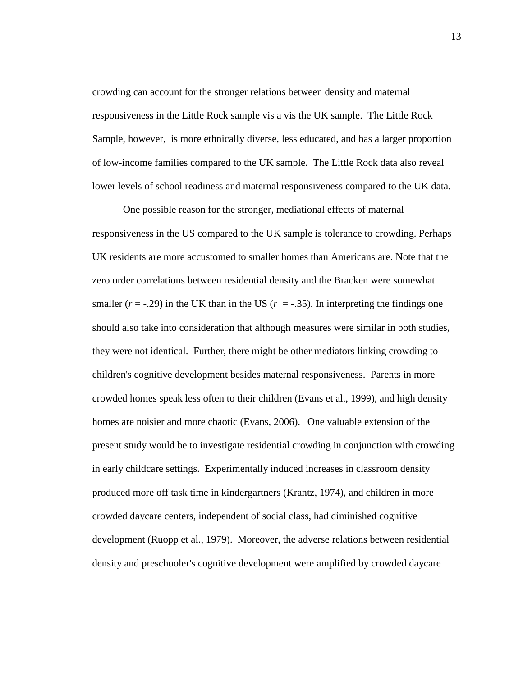crowding can account for the stronger relations between density and maternal responsiveness in the Little Rock sample vis a vis the UK sample. The Little Rock Sample, however, is more ethnically diverse, less educated, and has a larger proportion of low-income families compared to the UK sample. The Little Rock data also reveal lower levels of school readiness and maternal responsiveness compared to the UK data.

One possible reason for the stronger, mediational effects of maternal responsiveness in the US compared to the UK sample is tolerance to crowding. Perhaps UK residents are more accustomed to smaller homes than Americans are. Note that the zero order correlations between residential density and the Bracken were somewhat smaller  $(r = -0.29)$  in the UK than in the US  $(r = -0.35)$ . In interpreting the findings one should also take into consideration that although measures were similar in both studies, they were not identical. Further, there might be other mediators linking crowding to children's cognitive development besides maternal responsiveness. Parents in more crowded homes speak less often to their children (Evans et al., 1999), and high density homes are noisier and more chaotic (Evans, 2006). One valuable extension of the present study would be to investigate residential crowding in conjunction with crowding in early childcare settings. Experimentally induced increases in classroom density produced more off task time in kindergartners (Krantz, 1974), and children in more crowded daycare centers, independent of social class, had diminished cognitive development (Ruopp et al., 1979). Moreover, the adverse relations between residential density and preschooler's cognitive development were amplified by crowded daycare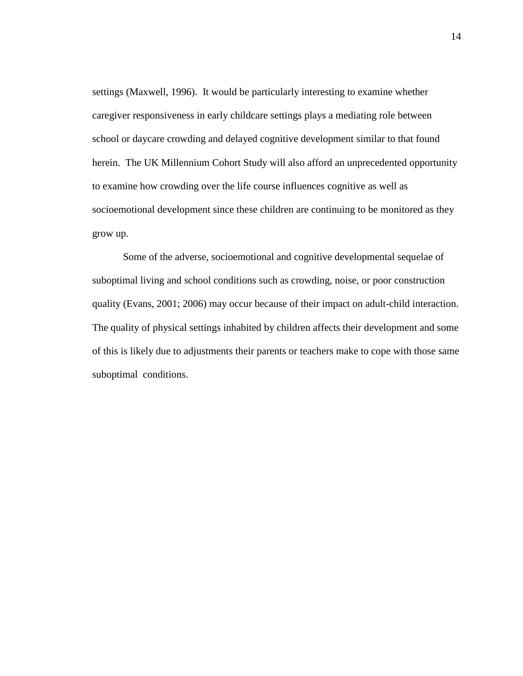settings (Maxwell, 1996). It would be particularly interesting to examine whether caregiver responsiveness in early childcare settings plays a mediating role between school or daycare crowding and delayed cognitive development similar to that found herein. The UK Millennium Cohort Study will also afford an unprecedented opportunity to examine how crowding over the life course influences cognitive as well as socioemotional development since these children are continuing to be monitored as they grow up.

Some of the adverse, socioemotional and cognitive developmental sequelae of suboptimal living and school conditions such as crowding, noise, or poor construction quality (Evans, 2001; 2006) may occur because of their impact on adult-child interaction. The quality of physical settings inhabited by children affects their development and some of this is likely due to adjustments their parents or teachers make to cope with those same suboptimal conditions.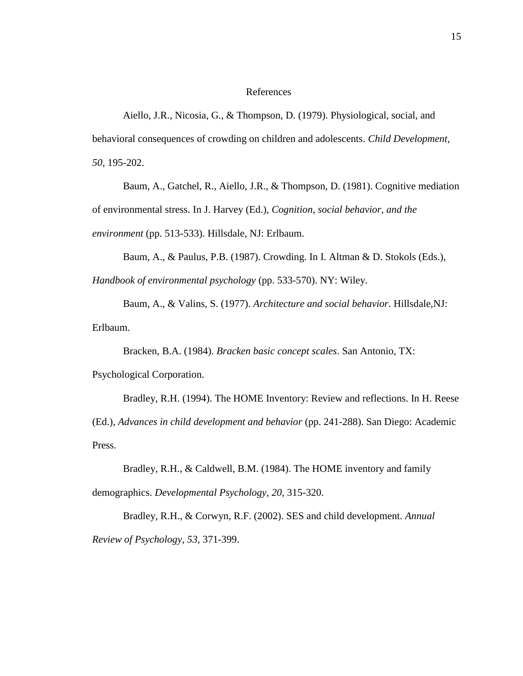#### References

Aiello, J.R., Nicosia, G., & Thompson, D. (1979). Physiological, social, and behavioral consequences of crowding on children and adolescents. *Child Development, 50,* 195-202.

Baum, A., Gatchel, R., Aiello, J.R., & Thompson, D. (1981). Cognitive mediation of environmental stress. In J. Harvey (Ed.), *Cognition, social behavior, and the environment* (pp. 513-533). Hillsdale, NJ: Erlbaum.

Baum, A., & Paulus, P.B. (1987). Crowding. In I. Altman & D. Stokols (Eds.),

*Handbook of environmental psychology* (pp. 533-570). NY: Wiley.

Baum, A., & Valins, S. (1977). *Architecture and social behavior*. Hillsdale,NJ: Erlbaum.

Bracken, B.A. (1984). *Bracken basic concept scales*. San Antonio, TX:

Psychological Corporation.

Bradley, R.H. (1994). The HOME Inventory: Review and reflections. In H. Reese (Ed.), *Advances in child development and behavior* (pp. 241-288). San Diego: Academic Press.

Bradley, R.H., & Caldwell, B.M. (1984). The HOME inventory and family demographics. *Developmental Psychology, 20,* 315-320.

Bradley, R.H., & Corwyn, R.F. (2002). SES and child development. *Annual Review of Psychology, 53,* 371-399.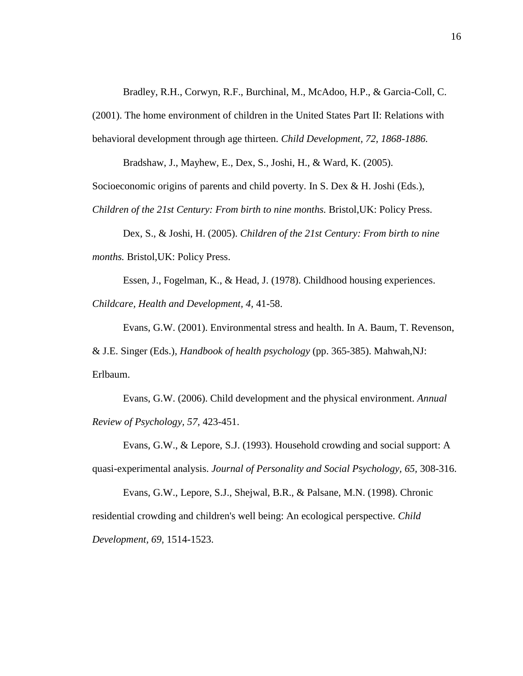Bradley, R.H., Corwyn, R.F., Burchinal, M., McAdoo, H.P., & Garcia-Coll, C.

(2001). The home environment of children in the United States Part II: Relations with behavioral development through age thirteen. *Child Development, 72, 1868-1886.*

Bradshaw, J., Mayhew, E., Dex, S., Joshi, H., & Ward, K. (2005).

Socioeconomic origins of parents and child poverty. In S. Dex & H. Joshi (Eds.),

*Children of the 21st Century: From birth to nine months.* Bristol,UK: Policy Press.

Dex, S., & Joshi, H. (2005). *Children of the 21st Century: From birth to nine months.* Bristol,UK: Policy Press.

Essen, J., Fogelman, K., & Head, J. (1978). Childhood housing experiences. *Childcare, Health and Development, 4,* 41-58.

Evans, G.W. (2001). Environmental stress and health. In A. Baum, T. Revenson, & J.E. Singer (Eds.), *Handbook of health psychology* (pp. 365-385). Mahwah,NJ: Erlbaum.

Evans, G.W. (2006). Child development and the physical environment. *Annual Review of Psychology, 57,* 423-451.

Evans, G.W., & Lepore, S.J. (1993). Household crowding and social support: A quasi-experimental analysis. *Journal of Personality and Social Psychology, 65,* 308-316.

Evans, G.W., Lepore, S.J., Shejwal, B.R., & Palsane, M.N. (1998). Chronic residential crowding and children's well being: An ecological perspective. *Child Development, 69,* 1514-1523.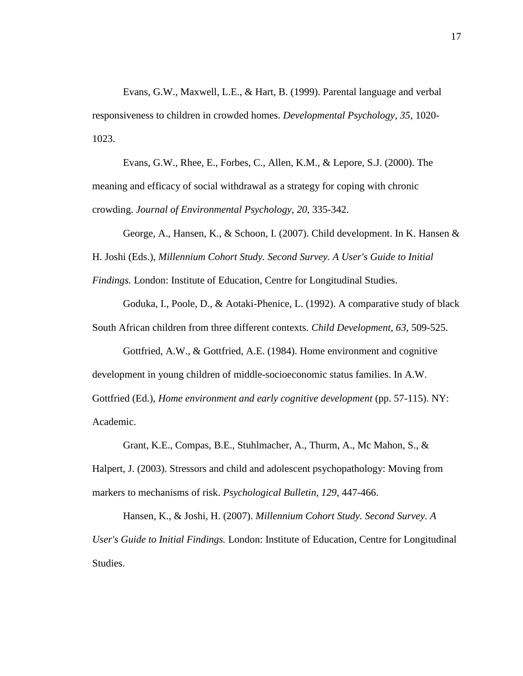Evans, G.W., Maxwell, L.E., & Hart, B. (1999). Parental language and verbal responsiveness to children in crowded homes. *Developmental Psychology, 35,* 1020- 1023.

Evans, G.W., Rhee, E., Forbes, C., Allen, K.M., & Lepore, S.J. (2000). The meaning and efficacy of social withdrawal as a strategy for coping with chronic crowding. *Journal of Environmental Psychology, 20,* 335-342.

George, A., Hansen, K., & Schoon, I. (2007). Child development. In K. Hansen & H. Joshi (Eds.), *Millennium Cohort Study. Second Survey. A User's Guide to Initial* 

*Findings.* London: Institute of Education, Centre for Longitudinal Studies.

Goduka, I., Poole, D., & Aotaki-Phenice, L. (1992). A comparative study of black South African children from three different contexts. *Child Development, 63,* 509-525.

Gottfried, A.W., & Gottfried, A.E. (1984). Home environment and cognitive development in young children of middle-socioeconomic status families. In A.W. Gottfried (Ed.), *Home environment and early cognitive development* (pp. 57-115). NY: Academic.

Grant, K.E., Compas, B.E., Stuhlmacher, A., Thurm, A., Mc Mahon, S., & Halpert, J. (2003). Stressors and child and adolescent psychopathology: Moving from markers to mechanisms of risk. *Psychological Bulletin, 129,* 447-466.

Hansen, K., & Joshi, H. (2007). *Millennium Cohort Study. Second Survey. A User's Guide to Initial Findings.* London: Institute of Education, Centre for Longitudinal Studies.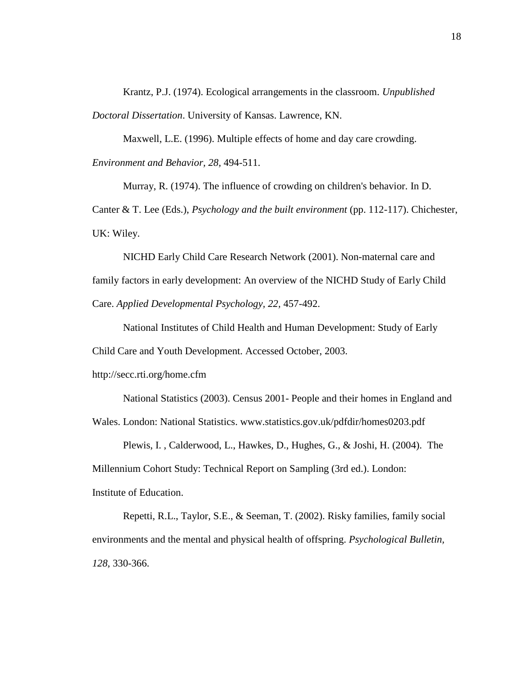Krantz, P.J. (1974). Ecological arrangements in the classroom. *Unpublished Doctoral Dissertation*. University of Kansas. Lawrence, KN.

Maxwell, L.E. (1996). Multiple effects of home and day care crowding. *Environment and Behavior, 28,* 494-511.

Murray, R. (1974). The influence of crowding on children's behavior. In D. Canter & T. Lee (Eds.), *Psychology and the built environment* (pp. 112-117). Chichester, UK: Wiley.

NICHD Early Child Care Research Network (2001). Non-maternal care and family factors in early development: An overview of the NICHD Study of Early Child Care. *Applied Developmental Psychology, 22,* 457-492.

National Institutes of Child Health and Human Development: Study of Early

Child Care and Youth Development. Accessed October, 2003.

http://secc.rti.org/home.cfm

National Statistics (2003). Census 2001- People and their homes in England and Wales. London: National Statistics. www.statistics.gov.uk/pdfdir/homes0203.pdf

Plewis, I. , Calderwood, L., Hawkes, D., Hughes, G., & Joshi, H. (2004). The

Millennium Cohort Study: Technical Report on Sampling (3rd ed.). London:

Institute of Education.

Repetti, R.L., Taylor, S.E., & Seeman, T. (2002). Risky families, family social environments and the mental and physical health of offspring. *Psychological Bulletin, 128,* 330-366.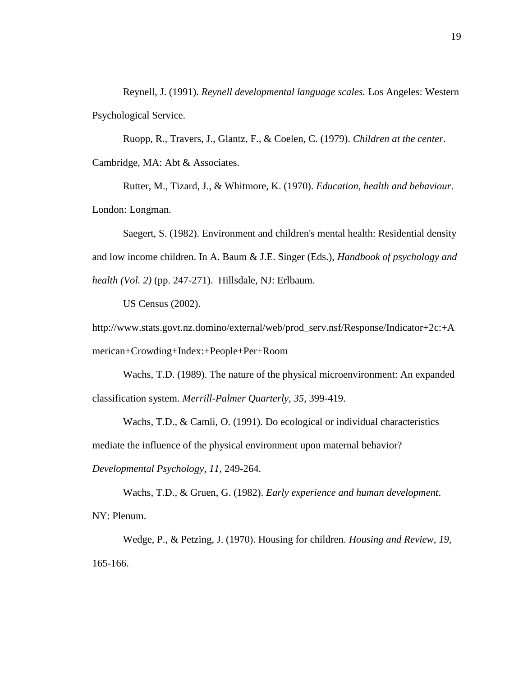Reynell, J. (1991). *Reynell developmental language scales.* Los Angeles: Western Psychological Service.

Ruopp, R., Travers, J., Glantz, F., & Coelen, C. (1979). *Children at the center*. Cambridge, MA: Abt & Associates.

Rutter, M., Tizard, J., & Whitmore, K. (1970). *Education, health and behaviour*. London: Longman.

Saegert, S. (1982). Environment and children's mental health: Residential density and low income children. In A. Baum & J.E. Singer (Eds.), *Handbook of psychology and health (Vol. 2)* (pp. 247-271). Hillsdale, NJ: Erlbaum.

US Census (2002).

http://www.stats.govt.nz.domino/external/web/prod\_serv.nsf/Response/Indicator+2c:+A merican+Crowding+Index:+People+Per+Room

Wachs, T.D. (1989). The nature of the physical microenvironment: An expanded classification system. *Merrill-Palmer Quarterly, 35,* 399-419.

Wachs, T.D., & Camli, O. (1991). Do ecological or individual characteristics mediate the influence of the physical environment upon maternal behavior? *Developmental Psychology, 11,* 249-264.

Wachs, T.D., & Gruen, G. (1982). *Early experience and human development*. NY: Plenum.

Wedge, P., & Petzing, J. (1970). Housing for children. *Housing and Review, 19,* 165-166.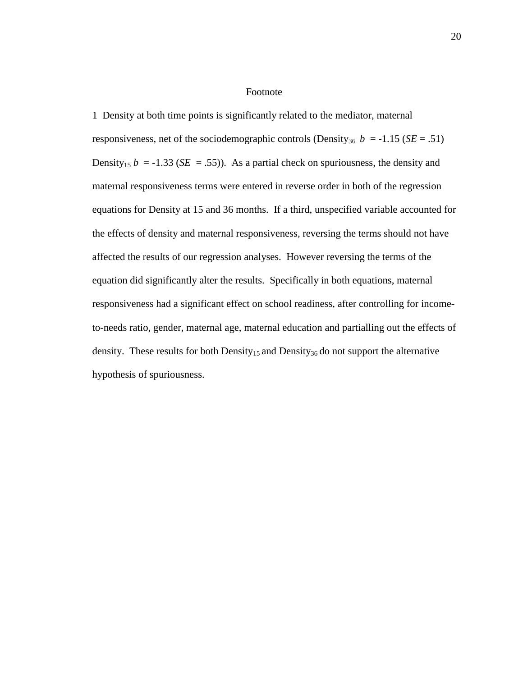#### Footnote

1 Density at both time points is significantly related to the mediator, maternal responsiveness, net of the sociodemographic controls (Density<sub>36</sub>  $b = -1.15$  (*SE* = .51) Density<sub>15</sub>  $b = -1.33$  (*SE* = .55)). As a partial check on spuriousness, the density and maternal responsiveness terms were entered in reverse order in both of the regression equations for Density at 15 and 36 months. If a third, unspecified variable accounted for the effects of density and maternal responsiveness, reversing the terms should not have affected the results of our regression analyses. However reversing the terms of the equation did significantly alter the results. Specifically in both equations, maternal responsiveness had a significant effect on school readiness, after controlling for incometo-needs ratio, gender, maternal age, maternal education and partialling out the effects of density. These results for both Density<sub>15</sub> and Density<sub>36</sub> do not support the alternative hypothesis of spuriousness.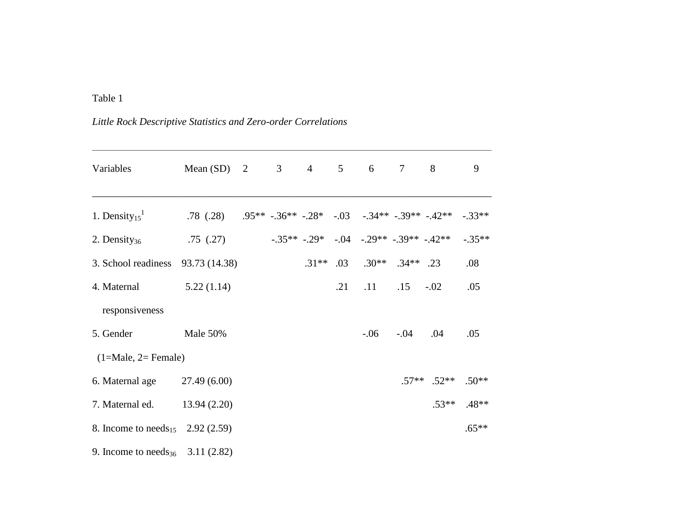# Table 1

*Little Rock Descriptive Statistics and Zero-order Correlations*

| Variables                                    | Mean (SD) 2 3 4 5 6 7 8                                            |  |         |     |                                     |                     |                 | 9                |
|----------------------------------------------|--------------------------------------------------------------------|--|---------|-----|-------------------------------------|---------------------|-----------------|------------------|
| 1. Density <sub>15</sub> <sup>1</sup>        | .78 (.28) $.95^{**}$ -.36** -.28* -.03 -.34** -.39** -.42** -.33** |  |         |     |                                     |                     |                 |                  |
| 2. Density $_{36}$                           | .75(.27)                                                           |  |         |     | $-.35**-.29*-.04-.29**-.39**-.42**$ |                     |                 | $-.35**$         |
| 3. School readiness 93.73 (14.38)            |                                                                    |  | $.31**$ |     | $.03 \t .30** \t .34** \t .23$      |                     |                 | .08              |
| 4. Maternal                                  | 5.22(1.14)                                                         |  |         | .21 |                                     | $.11 \t .15 \t .02$ |                 | .05              |
| responsiveness                               |                                                                    |  |         |     |                                     |                     |                 |                  |
| 5. Gender                                    | Male 50%                                                           |  |         |     |                                     | $-.06$ $-.04$ $.04$ |                 | .05              |
| $(1=Male, 2=Female)$                         |                                                                    |  |         |     |                                     |                     |                 |                  |
| 6. Maternal age 27.49 (6.00)                 |                                                                    |  |         |     |                                     |                     | $.57**$ $.52**$ | $.50**$          |
| 7. Maternal ed.                              | 13.94(2.20)                                                        |  |         |     |                                     |                     |                 | $.53***$ $.48**$ |
| 8. Income to needs <sub>15</sub> 2.92 (2.59) |                                                                    |  |         |     |                                     |                     |                 | $.65**$          |
| 9. Income to needs <sub>36</sub> 3.11 (2.82) |                                                                    |  |         |     |                                     |                     |                 |                  |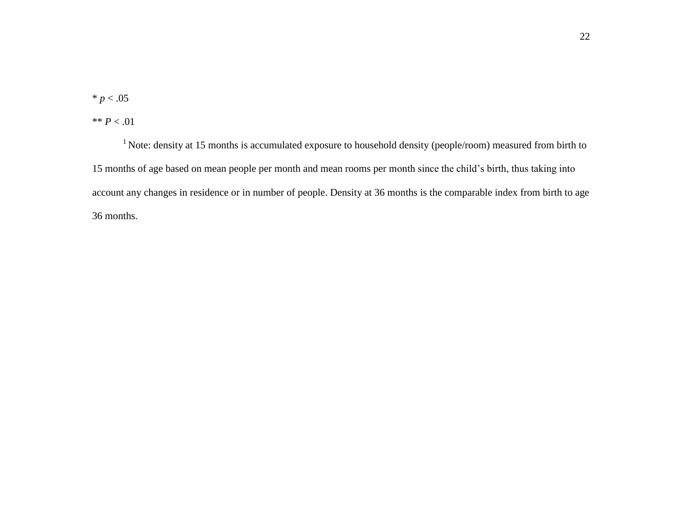$* p < .05$ 

\*\* *P* < .01

<sup>1</sup> Note: density at 15 months is accumulated exposure to household density (people/room) measured from birth to 15 months of age based on mean people per month and mean rooms per month since the child's birth, thus taking into account any changes in residence or in number of people. Density at 36 months is the comparable index from birth to age 36 months.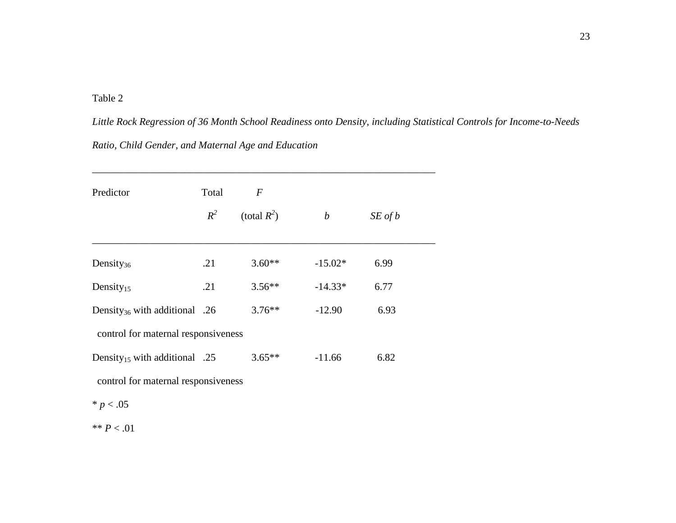# Table 2

*Little Rock Regression of 36 Month School Readiness onto Density, including Statistical Controls for Income-to-Needs Ratio, Child Gender, and Maternal Age and Education*

| Predictor                                 | Total<br>$R^2$ | $\boldsymbol{F}$<br>(total $R^2$ ) | $\boldsymbol{b}$ | $SE$ of $b$ |  |
|-------------------------------------------|----------------|------------------------------------|------------------|-------------|--|
| Density $36$                              | .21            | $3.60**$                           | $-15.02*$        | 6.99        |  |
| Density $_{15}$                           | .21            | $3.56**$                           | $-14.33*$        | 6.77        |  |
| Density <sub>36</sub> with additional .26 |                | $3.76***$                          | $-12.90$         | 6.93        |  |
| control for maternal responsiveness       |                |                                    |                  |             |  |
| Density <sub>15</sub> with additional .25 |                | $3.65**$                           | $-11.66$         | 6.82        |  |
| control for maternal responsiveness       |                |                                    |                  |             |  |
| * $p < .05$                               |                |                                    |                  |             |  |

 $^{**}P<.01$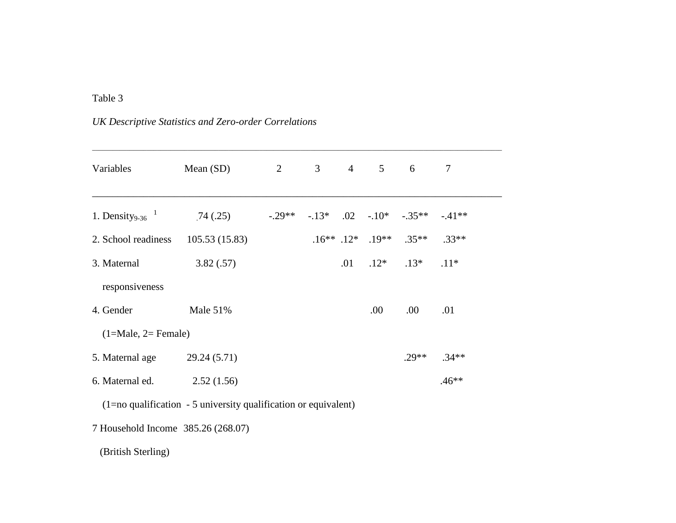# Table 3

| <b>UK Descriptive Statistics and Zero-order Correlations</b> |
|--------------------------------------------------------------|
|                                                              |

| Variables                      | Mean $(SD)$   | 2        | 3 <sup>7</sup> | $\overline{4}$ | 5 <sup>5</sup>           | 6                                | $\tau$  |  |
|--------------------------------|---------------|----------|----------------|----------------|--------------------------|----------------------------------|---------|--|
| 1. Density <sub>9-36</sub> $1$ | .74(.25)      | $-.29**$ | $-13*$         |                |                          | $.02 \quad .10^* \quad .35^{**}$ | $-41**$ |  |
| 2. School readiness            | 105.53(15.83) |          |                |                | $.16***$ $.12*$ $.19***$ | $.35**$                          | $.33**$ |  |
| 3. Maternal                    | 3.82(.57)     |          |                | $.01\,$        | $.12*$                   | $.13*$                           | $.11*$  |  |
| responsiveness                 |               |          |                |                |                          |                                  |         |  |
| 4. Gender                      | Male $51%$    |          |                |                | .00.                     | .00.                             | .01     |  |
| $(1=Male, 2=Female)$           |               |          |                |                |                          |                                  |         |  |
| 5. Maternal age                | 29.24 (5.71)  |          |                |                |                          | $.29**$                          | $.34**$ |  |
| 6. Maternal ed.                | 2.52(1.56)    |          |                |                |                          |                                  | $.46**$ |  |
|                                |               |          |                |                |                          |                                  |         |  |

(1=no qualification - 5 university qualification or equivalent)

7 Household Income 385.26 (268.07)

(British Sterling)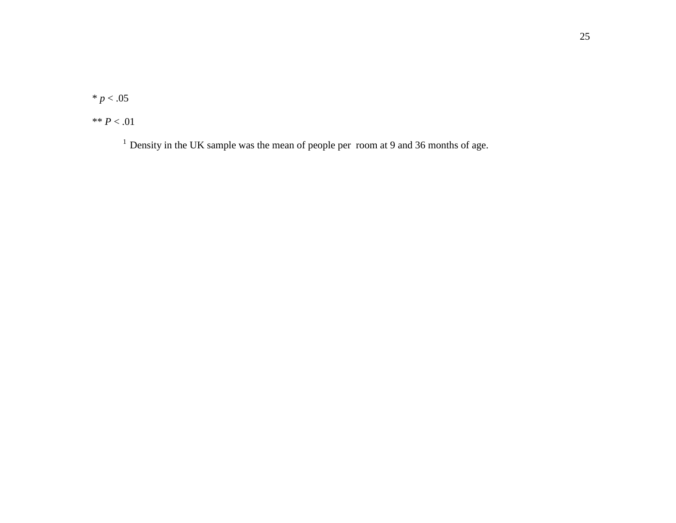$* p < .05$ 

\*\* *P* < .01

<sup>1</sup> Density in the UK sample was the mean of people per room at 9 and 36 months of age.